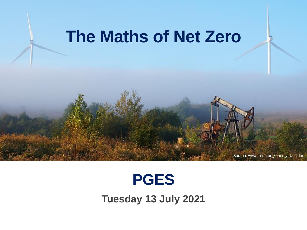# **The Maths of Net Zero**

## **PGES**

Source: www.irena.org/energytransition

**Tuesday 13 July 2021**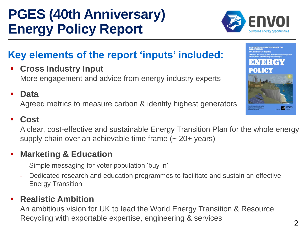## **PGES (40th Anniversary) Energy Policy Report**

### **Key elements of the report 'inputs' included:**

▪ **Cross Industry Input**  More engagement and advice from energy industry experts

### Agreed metrics to measure carbon & identify highest generators ▪ **Cost**

■ **Data** 

A clear, cost-effective and sustainable Energy Transition Plan for the whole energy supply chain over an achievable time frame (~ 20+ years)

### ■ Marketing & Education

- ‐ Simple messaging for voter population 'buy in'
- ‐ Dedicated research and education programmes to facilitate and sustain an effective Energy Transition

### ▪ **Realistic Ambition**

An ambitious vision for UK to lead the World Energy Transition & Resource Recycling with exportable expertise, engineering & services



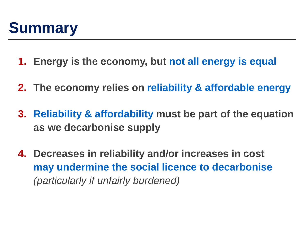

- **1. Energy is the economy, but not all energy is equal**
- **2. The economy relies on reliability & affordable energy**
- **3. Reliability & affordability must be part of the equation as we decarbonise supply**
- **4. Decreases in reliability and/or increases in cost may undermine the social licence to decarbonise**  *(particularly if unfairly burdened)*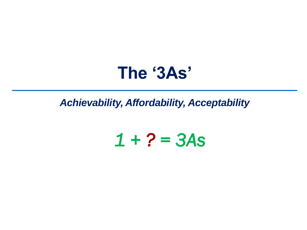## The '3As'

**Achievability, Affordability, Acceptability** 

# $1 + 2 = 3As$